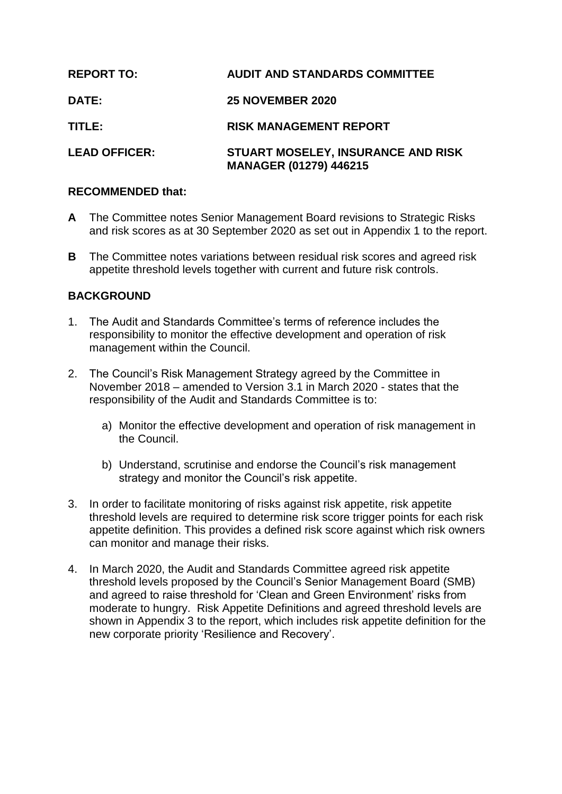| <b>REPORT TO:</b>    | <b>AUDIT AND STANDARDS COMMITTEE</b>                                |
|----------------------|---------------------------------------------------------------------|
| DATE:                | <b>25 NOVEMBER 2020</b>                                             |
| TITLE:               | <b>RISK MANAGEMENT REPORT</b>                                       |
| <b>LEAD OFFICER:</b> | STUART MOSELEY, INSURANCE AND RISK<br><b>MANAGER (01279) 446215</b> |

## **RECOMMENDED that:**

- **A** The Committee notes Senior Management Board revisions to Strategic Risks and risk scores as at 30 September 2020 as set out in Appendix 1 to the report.
- **B** The Committee notes variations between residual risk scores and agreed risk appetite threshold levels together with current and future risk controls.

# **BACKGROUND**

- 1. The Audit and Standards Committee's terms of reference includes the responsibility to monitor the effective development and operation of risk management within the Council.
- 2. The Council's Risk Management Strategy agreed by the Committee in November 2018 – amended to Version 3.1 in March 2020 - states that the responsibility of the Audit and Standards Committee is to:
	- a) Monitor the effective development and operation of risk management in the Council.
	- b) Understand, scrutinise and endorse the Council's risk management strategy and monitor the Council's risk appetite.
- 3. In order to facilitate monitoring of risks against risk appetite, risk appetite threshold levels are required to determine risk score trigger points for each risk appetite definition. This provides a defined risk score against which risk owners can monitor and manage their risks.
- 4. In March 2020, the Audit and Standards Committee agreed risk appetite threshold levels proposed by the Council's Senior Management Board (SMB) and agreed to raise threshold for 'Clean and Green Environment' risks from moderate to hungry. Risk Appetite Definitions and agreed threshold levels are shown in Appendix 3 to the report, which includes risk appetite definition for the new corporate priority 'Resilience and Recovery'.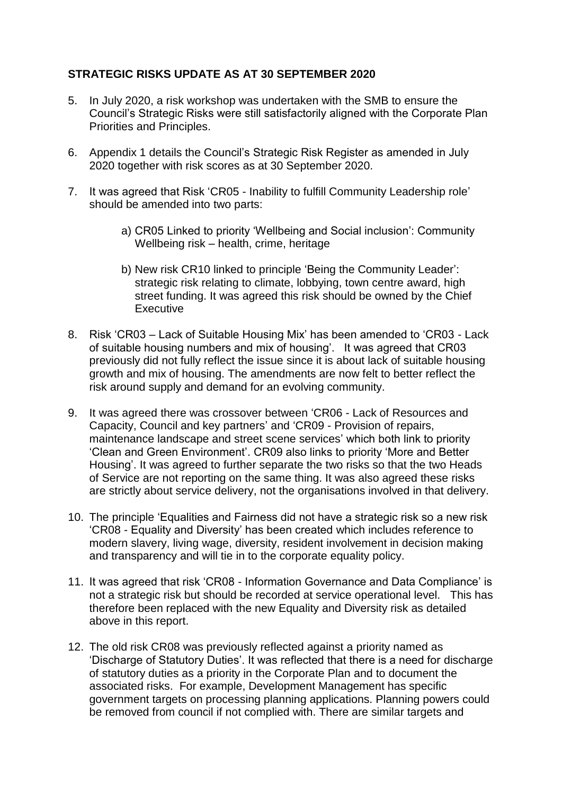# **STRATEGIC RISKS UPDATE AS AT 30 SEPTEMBER 2020**

- 5. In July 2020, a risk workshop was undertaken with the SMB to ensure the Council's Strategic Risks were still satisfactorily aligned with the Corporate Plan Priorities and Principles.
- 6. Appendix 1 details the Council's Strategic Risk Register as amended in July 2020 together with risk scores as at 30 September 2020.
- 7. It was agreed that Risk 'CR05 Inability to fulfill Community Leadership role' should be amended into two parts:
	- a) CR05 Linked to priority 'Wellbeing and Social inclusion': Community Wellbeing risk – health, crime, heritage
	- b) New risk CR10 linked to principle 'Being the Community Leader': strategic risk relating to climate, lobbying, town centre award, high street funding. It was agreed this risk should be owned by the Chief **Executive**
- 8. Risk 'CR03 Lack of Suitable Housing Mix' has been amended to 'CR03 Lack of suitable housing numbers and mix of housing'. It was agreed that CR03 previously did not fully reflect the issue since it is about lack of suitable housing growth and mix of housing. The amendments are now felt to better reflect the risk around supply and demand for an evolving community.
- 9. It was agreed there was crossover between 'CR06 Lack of Resources and Capacity, Council and key partners' and 'CR09 - Provision of repairs, maintenance landscape and street scene services' which both link to priority 'Clean and Green Environment'. CR09 also links to priority 'More and Better Housing'. It was agreed to further separate the two risks so that the two Heads of Service are not reporting on the same thing. It was also agreed these risks are strictly about service delivery, not the organisations involved in that delivery.
- 10. The principle 'Equalities and Fairness did not have a strategic risk so a new risk 'CR08 - Equality and Diversity' has been created which includes reference to modern slavery, living wage, diversity, resident involvement in decision making and transparency and will tie in to the corporate equality policy.
- 11. It was agreed that risk 'CR08 Information Governance and Data Compliance' is not a strategic risk but should be recorded at service operational level. This has therefore been replaced with the new Equality and Diversity risk as detailed above in this report.
- 12. The old risk CR08 was previously reflected against a priority named as 'Discharge of Statutory Duties'. It was reflected that there is a need for discharge of statutory duties as a priority in the Corporate Plan and to document the associated risks. For example, Development Management has specific government targets on processing planning applications. Planning powers could be removed from council if not complied with. There are similar targets and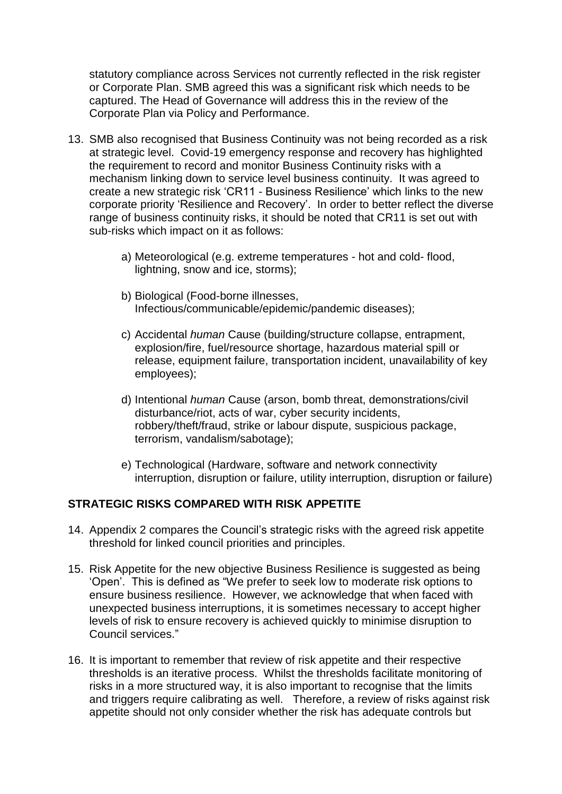statutory compliance across Services not currently reflected in the risk register or Corporate Plan. SMB agreed this was a significant risk which needs to be captured. The Head of Governance will address this in the review of the Corporate Plan via Policy and Performance.

- 13. SMB also recognised that Business Continuity was not being recorded as a risk at strategic level. Covid-19 emergency response and recovery has highlighted the requirement to record and monitor Business Continuity risks with a mechanism linking down to service level business continuity. It was agreed to create a new strategic risk 'CR11 - Business Resilience' which links to the new corporate priority 'Resilience and Recovery'. In order to better reflect the diverse range of business continuity risks, it should be noted that CR11 is set out with sub-risks which impact on it as follows:
	- a) Meteorological (e.g. extreme temperatures hot and cold- flood, lightning, snow and ice, storms);
	- b) Biological (Food-borne illnesses, Infectious/communicable/epidemic/pandemic diseases);
	- c) Accidental *human* Cause (building/structure collapse, entrapment, explosion/fire, fuel/resource shortage, hazardous material spill or release, equipment failure, transportation incident, unavailability of key employees);
	- d) Intentional *human* Cause (arson, bomb threat, demonstrations/civil disturbance/riot, acts of war, cyber security incidents, robbery/theft/fraud, strike or labour dispute, suspicious package, terrorism, vandalism/sabotage);
	- e) Technological (Hardware, software and network connectivity interruption, disruption or failure, utility interruption, disruption or failure)

## **STRATEGIC RISKS COMPARED WITH RISK APPETITE**

- 14. Appendix 2 compares the Council's strategic risks with the agreed risk appetite threshold for linked council priorities and principles.
- 15. Risk Appetite for the new objective Business Resilience is suggested as being 'Open'. This is defined as "We prefer to seek low to moderate risk options to ensure business resilience. However, we acknowledge that when faced with unexpected business interruptions, it is sometimes necessary to accept higher levels of risk to ensure recovery is achieved quickly to minimise disruption to Council services."
- 16. It is important to remember that review of risk appetite and their respective thresholds is an iterative process. Whilst the thresholds facilitate monitoring of risks in a more structured way, it is also important to recognise that the limits and triggers require calibrating as well. Therefore, a review of risks against risk appetite should not only consider whether the risk has adequate controls but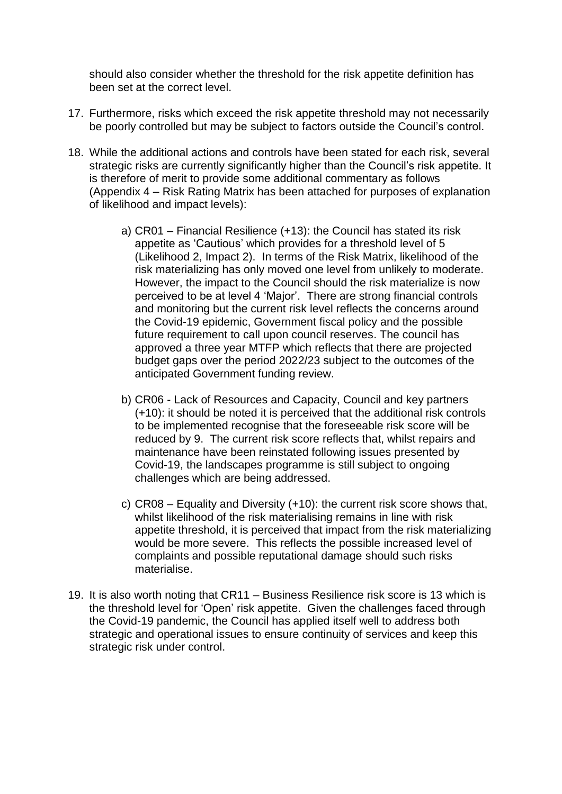should also consider whether the threshold for the risk appetite definition has been set at the correct level.

- 17. Furthermore, risks which exceed the risk appetite threshold may not necessarily be poorly controlled but may be subject to factors outside the Council's control.
- 18. While the additional actions and controls have been stated for each risk, several strategic risks are currently significantly higher than the Council's risk appetite. It is therefore of merit to provide some additional commentary as follows (Appendix 4 – Risk Rating Matrix has been attached for purposes of explanation of likelihood and impact levels):
	- a) CR01 Financial Resilience (+13): the Council has stated its risk appetite as 'Cautious' which provides for a threshold level of 5 (Likelihood 2, Impact 2). In terms of the Risk Matrix, likelihood of the risk materializing has only moved one level from unlikely to moderate. However, the impact to the Council should the risk materialize is now perceived to be at level 4 'Major'. There are strong financial controls and monitoring but the current risk level reflects the concerns around the Covid-19 epidemic, Government fiscal policy and the possible future requirement to call upon council reserves. The council has approved a three year MTFP which reflects that there are projected budget gaps over the period 2022/23 subject to the outcomes of the anticipated Government funding review.
	- b) CR06 Lack of Resources and Capacity, Council and key partners (+10): it should be noted it is perceived that the additional risk controls to be implemented recognise that the foreseeable risk score will be reduced by 9. The current risk score reflects that, whilst repairs and maintenance have been reinstated following issues presented by Covid-19, the landscapes programme is still subject to ongoing challenges which are being addressed.
	- c) CR08 Equality and Diversity (+10): the current risk score shows that, whilst likelihood of the risk materialising remains in line with risk appetite threshold, it is perceived that impact from the risk materializing would be more severe. This reflects the possible increased level of complaints and possible reputational damage should such risks materialise.
- 19. It is also worth noting that CR11 Business Resilience risk score is 13 which is the threshold level for 'Open' risk appetite. Given the challenges faced through the Covid-19 pandemic, the Council has applied itself well to address both strategic and operational issues to ensure continuity of services and keep this strategic risk under control.